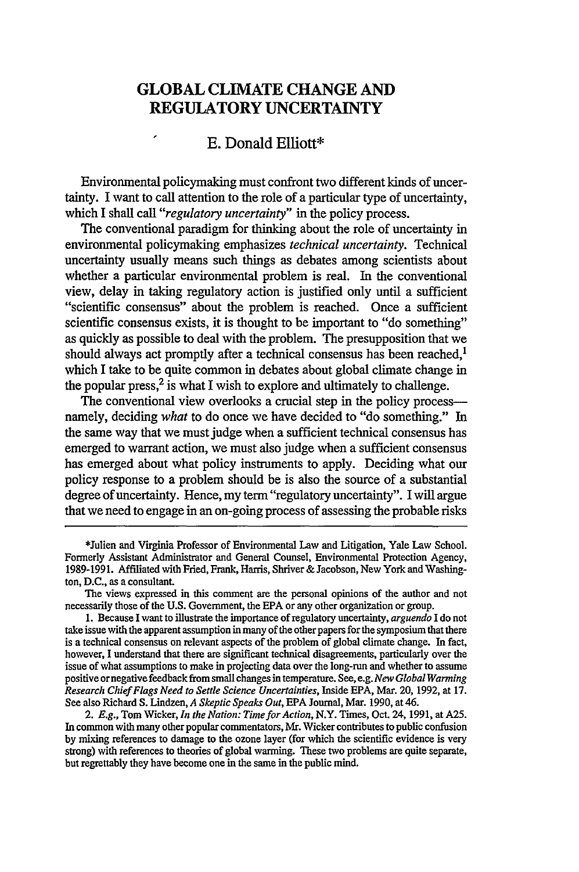## **GLOBAL CLIMATE CHANGE AND REGULATORY UNCERTAINTY**

## **I E.** Donald Elliott\*

Environmental policymaking must confront two different kinds of uncertainty. I want to call attention to the role of a particular type of uncertainty, which I shall call *"regulatory uncertainty"* in the policy process.

The conventional paradigm for thinking about the role of uncertainty in environmental policymaking emphasizes *technical uncertainty.* Technical uncertainty usually means such things as debates among scientists about whether a particular environmental problem is real. In the conventional view, delay in taking regulatory action is justified only until a sufficient "scientific consensus" about the problem is reached. Once a sufficient scientific consensus exists, it is thought to be important to "do something" as quickly as possible to deal with the problem. The presupposition that we should always act promptly after a technical consensus has been reached, $<sup>1</sup>$ </sup> which I take to be quite common in debates about global climate change in the popular press, $2$  is what I wish to explore and ultimately to challenge.

The conventional view overlooks a crucial step in the policy processnamely, deciding *what* to do once we have decided to "do something." In the same way that we must judge when a sufficient technical consensus has emerged to warrant action, we must also judge when a sufficient consensus has emerged about what policy instruments to apply. Deciding what our policy response to a problem should be is also the source of a substantial degree of uncertainty. Hence, my term "regulatory uncertainty". I will argue that we need to engage in an on-going process of assessing the probable risks

<sup>\*</sup>Julien and Virginia Professor of Environmental Law and Litigation, Yale Law School. Formerly Assistant Administrator and General Counsel, Environmental Protection Agency, **1989-1991.** Affiliated with Fried, Frank, Harris, Shriver **&** Jacobson, New York and Washington, **D.C.,** as a consultant.

The views expressed in this comment are the personal opinions of the author and not necessarily those of the **U.S.** Government, the **EPA** or any other organization or group.

**<sup>1.</sup>** Because I want to illustrate the importance of regulatory uncertainty, *arguendo* **I** do not take issue with the apparent assumption in many of the other papers for the symposium that there is a technical consensus on relevant aspects of the problem of global climate change. In fact, however, **I** understand that there are significant technical disagreements, particularly over the issue of what assumptions to make in projecting data over the long-run and whether to assume positive or negative feedback from small changes in temperature. See, e.g. *New Global Warming Research Chief Flags Need to Settle Science Uncertainties,* Inside **EPA,** Mar. 20, **1992,** at **17.** See also Richard **S.** Lindzen, *A Skeptic Speaks Out,* **EPA** Journal, Mar. **1990,** at 46.

<sup>2.</sup> *E.g.,* Tom Wicker, *In the Nation: Time for Action,* N.Y. Times, Oct. 24, 1991, at **A25.** In common with many other popular commentators, **Mr.** Wicker contributes to public confusion **by** mixing references to damage to the ozone layer (for which the scientific evidence is very strong) with references to theories of global warming. These two problems are quite separate, but regrettably they have become one in the same in the public mind.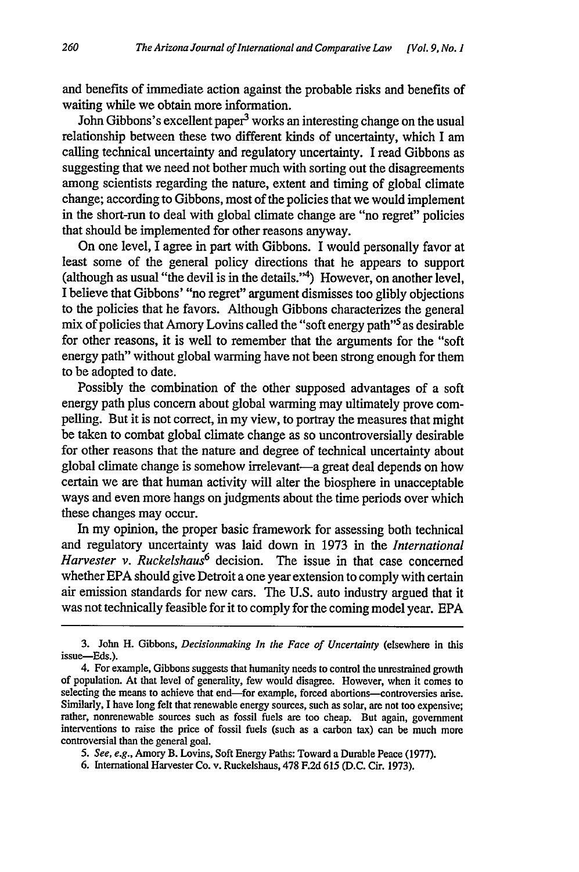and benefits of immediate action against the probable risks and benefits of waiting while we obtain more information.

John Gibbons's excellent paper<sup>3</sup> works an interesting change on the usual relationship between these two different kinds of uncertainty, which I am calling technical uncertainty and regulatory uncertainty. I read Gibbons as suggesting that we need not bother much with sorting out the disagreements among scientists regarding the nature, extent and timing of global climate change; according to Gibbons, most of the policies that we would implement in the short-run to deal with global climate change are "no regret" policies that should be implemented for other reasons anyway.

On one level, I agree in part with Gibbons. I would personally favor at least some of the general policy directions that he appears to support (although as usual "the devil is in the details."4) However, on another level, I believe that Gibbons' "no regret" argument dismisses too glibly objections to the policies that he favors. Although Gibbons characterizes the general mix of policies that Amory Lovins called the "soft energy path"<sup>5</sup> as desirable for other reasons, it is well to remember that the arguments for the "soft energy path" without global warming have not been strong enough for them to be adopted to date.

Possibly the combination of the other supposed advantages of a soft energy path plus concern about global warming may ultimately prove compelling. But it is not correct, in my view, to portray the measures that might be taken to combat global climate change as so uncontroversially desirable for other reasons that the nature and degree of technical uncertainty about global climate change is somehow irrelevant-a great deal depends on how certain we are that human activity will alter the biosphere in unacceptable ways and even more hangs on judgments about the time periods over which these changes may occur.

In my opinion, the proper basic framework for assessing both technical and regulatory uncertainty was laid down in 1973 in the *International Harvester v. Ruckelshaus6* decision. The issue in that case concerned whether EPA should give Detroit a one year extension to comply with certain air emission standards for new cars. The U.S. auto industry argued that it was not technically feasible for it to comply for the coming model year. EPA

**<sup>3.</sup>** John H. Gibbons, *Decisionmaking In the Face of Uncertainty* (elsewhere in this issue-Eds.).

<sup>4.</sup> For example, Gibbons suggests that humanity needs to control the unrestrained growth of population. At that level of generality, few would disagree. However, when it comes to selecting the means to achieve that end-for example, forced abortions-controversies arise. Similarly, I have long felt that renewable energy sources, such as solar, are not too expensive; rather, nonrenewable sources such as fossil fuels are too cheap. But again, government interventions to raise the price of fossil fuels (such as a carbon tax) can be much more controversial than the general goal.

*<sup>5.</sup> See, e.g.,* Amory B. Lovins, Soft Energy Paths: Toward a Durable Peace (1977).

<sup>6.</sup> international Harvester Co. v. Ruckelshaus, 478 F.2d 615 **(D.C.** Cir. **1973).**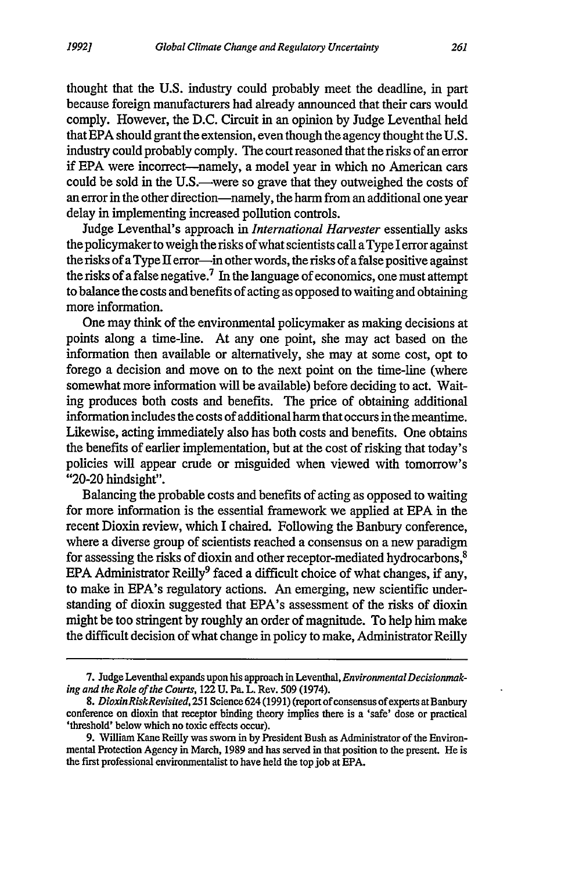thought that the U.S. industry could probably meet the deadline, in part because foreign manufacturers had already announced that their cars would comply. However, the D.C. Circuit in an opinion by Judge Leventhal held that EPA should grant the extension, even though the agency thought the U.S. industry could probably comply. The court reasoned that the risks of an error if EPA were incorrect-namely, a model year in which no American cars could be sold in the U.S.—were so grave that they outweighed the costs of an error in the other direction-namely, the harm from an additional one year delay in implementing increased pollution controls.

Judge Leventhal's approach in *International Harvester* essentially asks the policymaker to weigh the risks of what scientists call a Type I error against the risks of a Type II error-in other words, the risks of a false positive against the risks of a false negative.7 In the language of economics, one must attempt to balance the costs and benefits of acting as opposed to waiting and obtaining more information.

One may think of the environmental policymaker as making decisions at points along a time-line. At any one point, she may act based on the information then available or alternatively, she may at some cost, opt to forego a decision and move on to the next point on the time-line (where somewhat more information will be available) before deciding to act. Waiting produces both costs and benefits. The price of obtaining additional information includes the costs of additional harm that occurs in the meantime. Likewise, acting immediately also has both costs and benefits. One obtains the benefits of earlier implementation, but at the cost of risking that today's policies will appear crude or misguided when viewed with tomorrow's "20-20 hindsight".

Balancing the probable costs and benefits of acting as opposed to waiting for more information is the essential framework we applied at EPA in the recent Dioxin review, which I chaired. Following the Banbury conference, where a diverse group of scientists reached a consensus on a new paradigm for assessing the risks of dioxin and other receptor-mediated hydrocarbons, <sup>8</sup> EPA Administrator Reilly<sup>9</sup> faced a difficult choice of what changes, if any, to make in EPA's regulatory actions. An emerging, new scientific understanding of dioxin suggested that EPA's assessment of the risks of dioxin might be too stringent by roughly an order of magnitude. To help him make the difficult decision of what change in policy to make, Administrator Reilly

<sup>7.</sup> Judge Leventhal expands upon his approach in Leventhal, *EnvironmentalDecisionmaking and the Role of the Courts,* 122 U. Pa. L. Rev. 509 (1974).

*<sup>8.</sup> Dioxin RiskRevisited,* **251** Science 624 (1991) (report of consensus of experts at Banbury conference on dioxin that receptor binding theory implies there is a 'safe' dose or practical 'threshold' below which no toxic effects occur).

<sup>9.</sup> William Kane Reilly was sworn in by President Bush as Administrator of the Environmental Protection Agency in March, 1989 and has served in that position to the present. He is the first professional environmentalist to have held the top job at EPA.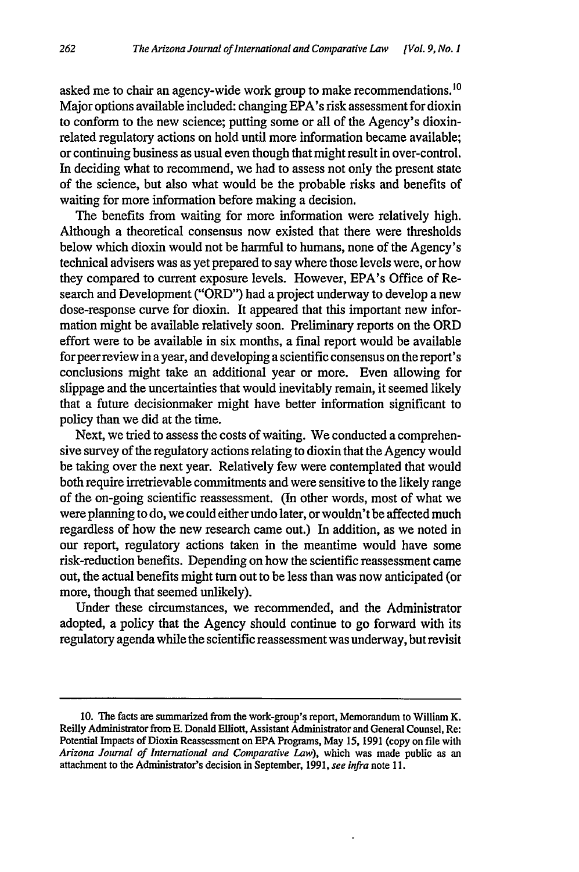asked me to chair an agency-wide work group to make recommendations. <sup>10</sup> Major options available included: changing EPA's risk assessment for dioxin to conform to the new science; putting some or all of the Agency's dioxinrelated regulatory actions on hold until more information became available; or continuing business as usual even though that might result in over-control. In deciding what to recommend, we had to assess not only the present state of the science, but also what would be the probable risks and benefits of waiting for more information before making a decision.

The benefits from waiting for more information were relatively high. Although a theoretical consensus now existed that there were thresholds below which dioxin would not be harmful to humans, none of the Agency's technical advisers was as yet prepared to say where those levels were, or how they compared to current exposure levels. However, EPA's Office of Research and Development ("ORD") had a project underway to develop a new dose-response curve for dioxin. It appeared that this important new information might be available relatively soon. Preliminary reports on the ORD effort were to be available in six months, a final report would be available for peer review in a year, and developing a scientific consensus on the report's conclusions might take an additional year or more. Even allowing for slippage and the uncertainties that would inevitably remain, it seemed likely that a future decisionmaker might have better information significant to policy than we did at the time.

Next, we tried to assess the costs of waiting. We conducted a comprehensive survey of the regulatory actions relating to dioxin that the Agency would be taking over the next year. Relatively few were contemplated that would both require irretrievable commitments and were sensitive to the likely range of the on-going scientific reassessment. (In other words, most of what we were planning to do, we could either undo later, or wouldn't be affected much regardless of how the new research came out.) In addition, as we noted in our report, regulatory actions taken in the meantime would have some risk-reduction benefits. Depending on how the scientific reassessment came out, the actual benefits might turn out to be less than was now anticipated (or more, though that seemed unlikely).

Under these circumstances, we recommended, and the Administrator adopted, a policy that the Agency should continue to go forward with its regulatory agenda while the scientific reassessment was underway, but revisit

**<sup>10.</sup> The** facts are summarized from the work-group's report, Memorandum to William K. Reilly Administrator from E. Donald Elliott, Assistant Administrator and General Counsel, Re: Potential Impacts of Dioxin Reassessment on EPA Programs, May 15, 1991 (copy on file with *Arizona Journal of International and Comparative Law),* which was made public as an attachment to the Administrator's decision in September, 1991, *see infra* note **11.**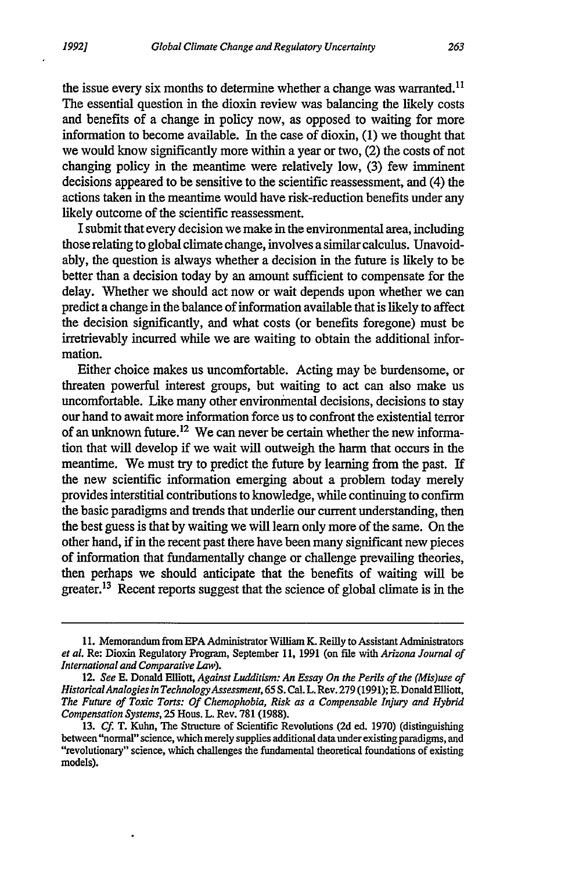the issue every six months to determine whether a change was warranted.<sup>11</sup> The essential question in the dioxin review was balancing the likely costs and benefits of a change in policy now, as opposed to waiting for more information to become available. In the case of dioxin, (1) we thought that we would know significantly more within a year or two, (2) the costs of not changing policy in the meantime were relatively low, (3) few imminent decisions appeared to be sensitive to the scientific reassessment, and (4) the actions taken in the meantime would have risk-reduction benefits under any likely outcome of the scientific reassessment.

I submit that every decision we make in the environmental area, including those relating to global climate change, involves a similar calculus. Unavoidably, the question is always whether a decision in the future is likely to be better than a decision today by an amount sufficient to compensate for the delay. Whether we should act now or wait depends upon whether we can predict a change in the balance of information available that is likely to affect the decision significantly, and what costs (or benefits foregone) must be irretrievably incurred while we are waiting to obtain the additional information.

Either choice makes us uncomfortable. Acting may be burdensome, or threaten powerful interest groups, but waiting to act can also make us uncomfortable. Like many other environmental decisions, decisions to stay our hand to await more information force us to confront the existential terror of an unknown future.<sup>12</sup> We can never be certain whether the new information that will develop if we wait will outweigh the harm that occurs in the meantime. We must try to predict the future by learning from the past. If the new scientific information emerging about a problem today merely provides interstitial contributions to knowledge, while continuing to confirm the basic paradigms and trends that underlie our current understanding, then the best guess is that by waiting we will learn only more of the same. On the other hand, if in the recent past there have been many significant new pieces of information that fundamentally change or challenge prevailing theories, then perhaps we should anticipate that the benefits of waiting will be greater.<sup>13</sup> Recent reports suggest that the science of global climate is in the

**<sup>11.</sup>** Memorandum from EPA Administrator William K. Reilly to Assistant Administrators *et al.* Re: Dioxin Regulatory Program, September **11,** 1991 (on file with *Arizona Journal of International and Comparative Law).*

<sup>12.</sup> *See* E. Donald Elliott, *Against Ludditism: An Essay On the Perils of the (Mis)use of HistoricalAnalogies in TechnologyAssessment, 65* S. Cal. L. Rev. 279 (1991); **E.** Donald Elliott, *The Future of Toxic Torts: Of Chemophobia, Risk as a Compensable Injury and Hybrid Compensation Systems,* 25 Hous. L. Rev. 781 (1988).

<sup>13.</sup> *Cf.* T. Kuhn, The Structure of Scientific Revolutions (2d ed. 1970) (distinguishing between "normal" science, which merely supplies additional data under existing paradigms, and "revolutionary" science, which challenges the fundamental theoretical foundations of existing models).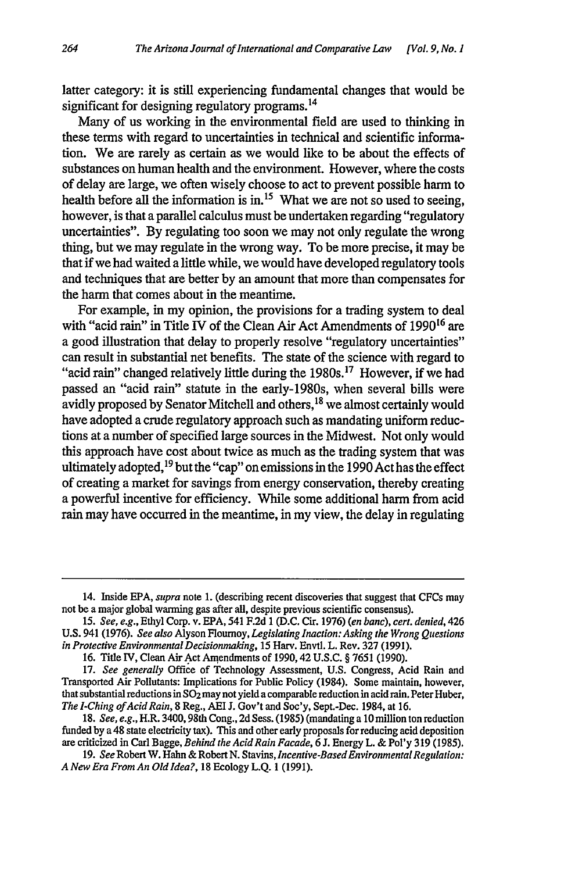latter category: it is still experiencing fundamental changes that would be significant for designing regulatory programs.<sup>14</sup>

Many of us working in the environmental field are used to thinking in these terms with regard to uncertainties in technical and scientific information. We are rarely as certain as we would like to be about the effects of substances on human health and the environment. However, where the costs of delay are large, we often wisely choose to act to prevent possible harm to health before all the information is in.<sup>15</sup> What we are not so used to seeing, however, is that a parallel calculus must be undertaken regarding "regulatory uncertainties". By regulating too soon we may not only regulate the wrong thing, but we may regulate in the wrong way. To be more precise, it may be that if we had waited a little while, we would have developed regulatory tools and techniques that are better by an amount that more than compensates for the harm that comes about in the meantime.

For example, in my opinion, the provisions for a trading system to deal with "acid rain" in Title IV of the Clean Air Act Amendments of 1990<sup>16</sup> are a good illustration that delay to properly resolve "regulatory uncertainties" can result in substantial net benefits. The state of the science with regard to "acid rain" changed relatively little during the 1980s.<sup>17</sup> However, if we had passed an "acid rain" statute in the early-1980s, when several bills were avidly proposed by Senator Mitchell and others,<sup>18</sup> we almost certainly would have adopted a crude regulatory approach such as mandating uniform reductions at a number of specified large sources in the Midwest. Not only would this approach have cost about twice as much as the trading system that was ultimately adopted,  $19$  but the "cap" on emissions in the 1990 Act has the effect of creating a market for savings from energy conservation, thereby creating a powerful incentive for efficiency. While some additional harm from acid rain may have occurred in the meantime, in my view, the delay in regulating

<sup>14.</sup> Inside EPA, *supra* note 1. (describing recent discoveries that suggest that CFCs may not be a major global wanning gas after all, despite previous scientific consensus).

<sup>15.</sup> *See, e.g.,* Ethyl Corp. v. EPA, 541 F.2d 1 (D.C. Cir. 1976) *(en banc), cert. denied,* 426 U.S. 941 (1976). *See also* Alyson Flournoy, *Legislating Inaction: Asking the Wrong Questions in Protective EnvironmentalDecisionmaking,* 15 Harv. Envtl. L. Rev. 327 (1991).

<sup>16.</sup> Title IV, Clean Air Act Amendments of 1990,42 U.S.C. § 7651 (1990).

<sup>17.</sup> *See generally* Office of Technology Assessment, U.S. Congress, Acid Rain and Transported Air Pollutants: Implications for Public Policy (1984). Some maintain, however, that substantial reductions in  $SO_2$  may not yield a comparable reduction in acid rain. Peter Huber, *The I-Ching of Acid Rain,* 8 Reg., AEI J. Gov't and Soc'y, Sept.-Dec. 1984, at 16.

<sup>18.</sup> *See, e.g.,* H.R. 3400,98th Cong., 2d Sess. (1985) (mandating a 10 million ton reduction funded by a 48 state electricity tax). This and other early proposals for reducing acid deposition are criticized in Carl Bagge, *Behind the Acid Rain Facade,* 6 J. Energy L. & Pol'y 319 (1985).

<sup>19.</sup> *See* Robert W. Hahn & Robert N. Stavins, *Incentive-BasedEnvironmental Regulation: A New Era From An Old Idea?,* 18 Ecology L.Q. 1 (1991).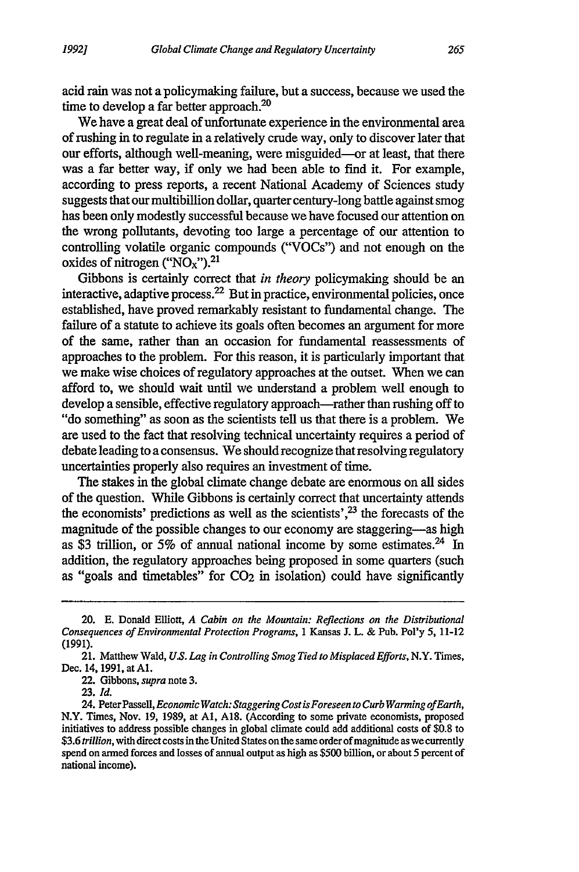acid rain was not a policymaking failure, but a success, because we used the time to develop a far better approach.<sup>20</sup>

We have a great deal of unfortunate experience in the environmental area of rushing in to regulate in a relatively crude way, only to discover later that our efforts, although well-meaning, were misguided-or at least, that there was a far better way, if only we had been able to find it. For example, according to press reports, a recent National Academy of Sciences study suggests that our multibillion dollar, quarter century-long battle against smog has been only modestly successful because we have focused our attention on the wrong pollutants, devoting too large a percentage of our attention to controlling volatile organic compounds ("VOCs") and not enough on the oxides of nitrogen (" $NO<sub>x</sub>$ ").<sup>21</sup>

Gibbons is certainly correct that *in theory* policymaking should be an interactive, adaptive process. 22 But in practice, environmental policies, once established, have proved remarkably resistant to fundamental change. The failure of a statute to achieve its goals often becomes an argument for more of the same, rather than an occasion for fundamental reassessments of approaches to the problem. For this reason, it is particularly important that we make wise choices of regulatory approaches at the outset. When we can afford to, we should wait until we understand a problem well enough to develop a sensible, effective regulatory approach-rather than rushing off to "do something" as soon as the scientists tell us that there is a problem. We are used to the fact that resolving technical uncertainty requires a period of debate leading to a consensus. We should recognize that resolving regulatory uncertainties properly also requires an investment of time.

The stakes in the global climate change debate are enormous on all sides of the question. While Gibbons is certainly correct that uncertainty attends the economists' predictions as well as the scientists', $^{23}$  the forecasts of the magnitude of the possible changes to our economy are staggering-as high as \$3 trillion, or 5% of annual national income by some estimates.<sup>24</sup> In addition, the regulatory approaches being proposed in some quarters (such as "goals and timetables" for **C02** in isolation) could have significantly

**23.** *Id.*

<sup>20.</sup> E. Donald Elliott, *A Cabin on the Mountain: Reflections on the Distributional Consequences of Environmental Protection Programs,* 1 Kansas **I.** L. & Pub. Pol'y 5, 11-12 (1991).

<sup>21.</sup> Matthew Wald, *U.S. Lag in Controlling Smog Tied to Misplaced Efforts,* N.Y. Times, Dec. 14, 1991, at A1.

<sup>22.</sup> Gibbons, *supra* note 3.

<sup>24.</sup> PeterPassell, *Economic Watch: Staggering Cost isForeseen to Curb Warming ofEarth,* N.Y. Times, Nov. 19, 1989, at **Al, A18.** (According to some private economists, proposed initiatives to address possible changes in global climate could add additional costs of \$0.8 to \$3.6 *trillion,* with direct costs in the United States on the same order of magnitude as we currently spend on armed forces and losses of annual output as high as \$500 billion, or about 5 percent of national income).